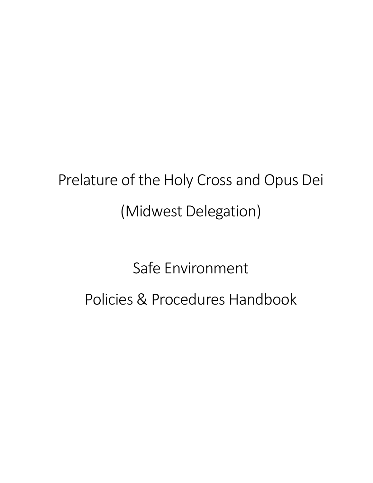# Prelature of the Holy Cross and Opus Dei (Midwest Delegation)

# Safe Environment Policies & Procedures Handbook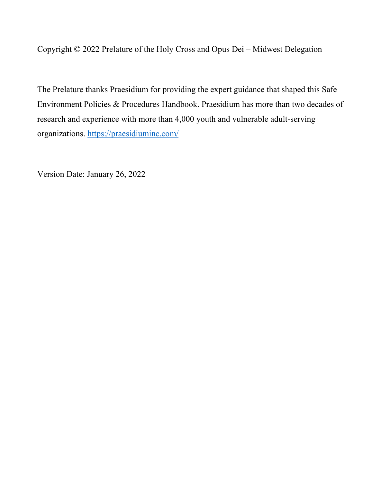Copyright © 2022 Prelature of the Holy Cross and Opus Dei – Midwest Delegation

The Prelature thanks Praesidium for providing the expert guidance that shaped this Safe Environment Policies & Procedures Handbook. Praesidium has more than two decades of research and experience with more than 4,000 youth and vulnerable adult-serving organizations. https://praesidiuminc.com/

Version Date: January 26, 2022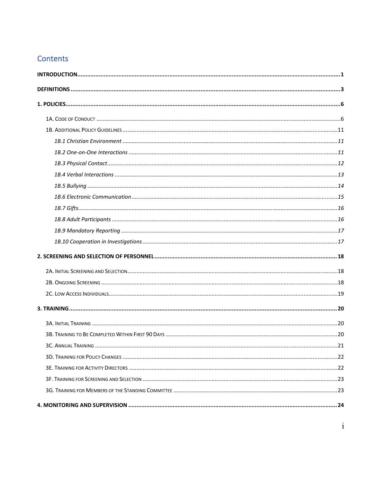#### Contents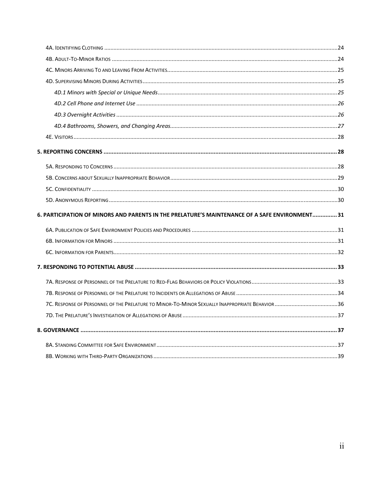| 6. PARTICIPATION OF MINORS AND PARENTS IN THE PRELATURE'S MAINTENANCE OF A SAFE ENVIRONMENT31 |  |
|-----------------------------------------------------------------------------------------------|--|
|                                                                                               |  |
|                                                                                               |  |
|                                                                                               |  |
|                                                                                               |  |
|                                                                                               |  |
|                                                                                               |  |
|                                                                                               |  |
|                                                                                               |  |
|                                                                                               |  |
|                                                                                               |  |
|                                                                                               |  |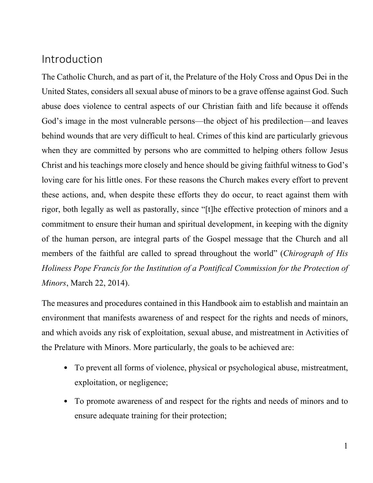## Introduction

The Catholic Church, and as part of it, the Prelature of the Holy Cross and Opus Dei in the United States, considers all sexual abuse of minors to be a grave offense against God. Such abuse does violence to central aspects of our Christian faith and life because it offends God's image in the most vulnerable persons—the object of his predilection—and leaves behind wounds that are very difficult to heal. Crimes of this kind are particularly grievous when they are committed by persons who are committed to helping others follow Jesus Christ and his teachings more closely and hence should be giving faithful witness to God's loving care for his little ones. For these reasons the Church makes every effort to prevent these actions, and, when despite these efforts they do occur, to react against them with rigor, both legally as well as pastorally, since "[t]he effective protection of minors and a commitment to ensure their human and spiritual development, in keeping with the dignity of the human person, are integral parts of the Gospel message that the Church and all members of the faithful are called to spread throughout the world" (*Chirograph of His Holiness Pope Francis for the Institution of a Pontifical Commission for the Protection of Minors*, March 22, 2014).

The measures and procedures contained in this Handbook aim to establish and maintain an environment that manifests awareness of and respect for the rights and needs of minors, and which avoids any risk of exploitation, sexual abuse, and mistreatment in Activities of the Prelature with Minors. More particularly, the goals to be achieved are:

- To prevent all forms of violence, physical or psychological abuse, mistreatment, exploitation, or negligence;
- To promote awareness of and respect for the rights and needs of minors and to ensure adequate training for their protection;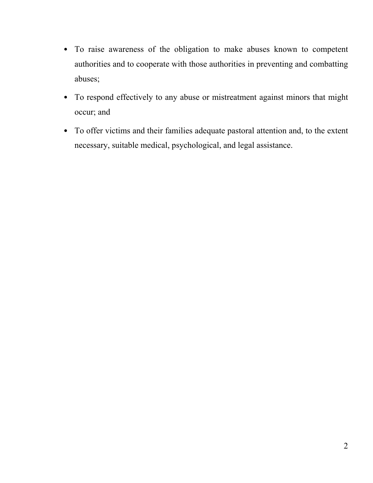- To raise awareness of the obligation to make abuses known to competent authorities and to cooperate with those authorities in preventing and combatting abuses;
- To respond effectively to any abuse or mistreatment against minors that might occur; and
- To offer victims and their families adequate pastoral attention and, to the extent necessary, suitable medical, psychological, and legal assistance.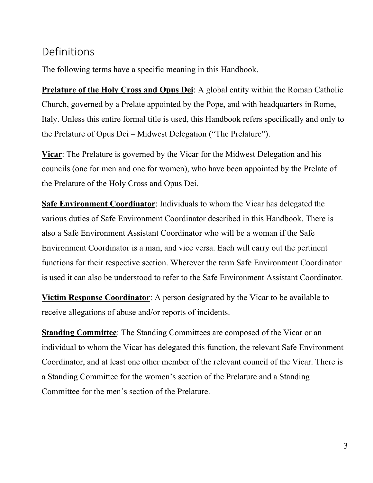## Definitions

The following terms have a specific meaning in this Handbook.

**Prelature of the Holy Cross and Opus Dei**: A global entity within the Roman Catholic Church, governed by a Prelate appointed by the Pope, and with headquarters in Rome, Italy. Unless this entire formal title is used, this Handbook refers specifically and only to the Prelature of Opus Dei – Midwest Delegation ("The Prelature").

**Vicar**: The Prelature is governed by the Vicar for the Midwest Delegation and his councils (one for men and one for women), who have been appointed by the Prelate of the Prelature of the Holy Cross and Opus Dei.

**Safe Environment Coordinator**: Individuals to whom the Vicar has delegated the various duties of Safe Environment Coordinator described in this Handbook. There is also a Safe Environment Assistant Coordinator who will be a woman if the Safe Environment Coordinator is a man, and vice versa. Each will carry out the pertinent functions for their respective section. Wherever the term Safe Environment Coordinator is used it can also be understood to refer to the Safe Environment Assistant Coordinator.

**Victim Response Coordinator**: A person designated by the Vicar to be available to receive allegations of abuse and/or reports of incidents.

**Standing Committee**: The Standing Committees are composed of the Vicar or an individual to whom the Vicar has delegated this function, the relevant Safe Environment Coordinator, and at least one other member of the relevant council of the Vicar. There is a Standing Committee for the women's section of the Prelature and a Standing Committee for the men's section of the Prelature.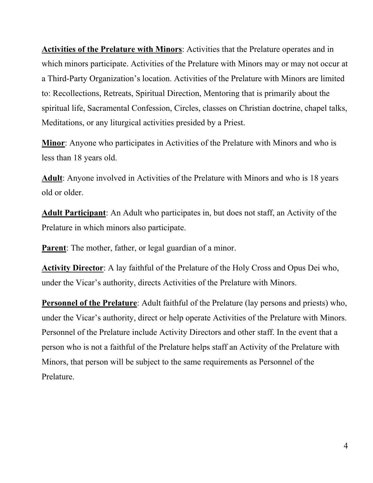**Activities of the Prelature with Minors**: Activities that the Prelature operates and in which minors participate. Activities of the Prelature with Minors may or may not occur at a Third-Party Organization's location. Activities of the Prelature with Minors are limited to: Recollections, Retreats, Spiritual Direction, Mentoring that is primarily about the spiritual life, Sacramental Confession, Circles, classes on Christian doctrine, chapel talks, Meditations, or any liturgical activities presided by a Priest.

**Minor**: Anyone who participates in Activities of the Prelature with Minors and who is less than 18 years old.

**Adult**: Anyone involved in Activities of the Prelature with Minors and who is 18 years old or older.

**Adult Participant**: An Adult who participates in, but does not staff, an Activity of the Prelature in which minors also participate.

**Parent:** The mother, father, or legal guardian of a minor.

**Activity Director**: A lay faithful of the Prelature of the Holy Cross and Opus Dei who, under the Vicar's authority, directs Activities of the Prelature with Minors.

**Personnel of the Prelature**: Adult faithful of the Prelature (lay persons and priests) who, under the Vicar's authority, direct or help operate Activities of the Prelature with Minors. Personnel of the Prelature include Activity Directors and other staff. In the event that a person who is not a faithful of the Prelature helps staff an Activity of the Prelature with Minors, that person will be subject to the same requirements as Personnel of the Prelature.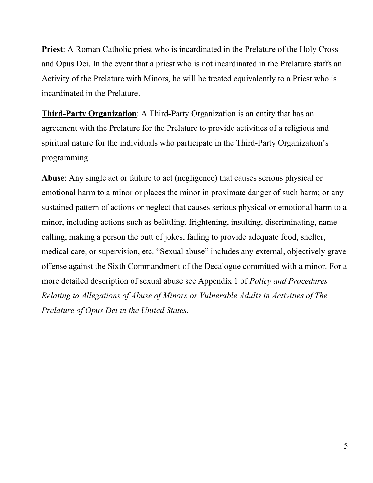**Priest**: A Roman Catholic priest who is incardinated in the Prelature of the Holy Cross and Opus Dei. In the event that a priest who is not incardinated in the Prelature staffs an Activity of the Prelature with Minors, he will be treated equivalently to a Priest who is incardinated in the Prelature.

**Third-Party Organization**: A Third-Party Organization is an entity that has an agreement with the Prelature for the Prelature to provide activities of a religious and spiritual nature for the individuals who participate in the Third-Party Organization's programming.

**Abuse**: Any single act or failure to act (negligence) that causes serious physical or emotional harm to a minor or places the minor in proximate danger of such harm; or any sustained pattern of actions or neglect that causes serious physical or emotional harm to a minor, including actions such as belittling, frightening, insulting, discriminating, namecalling, making a person the butt of jokes, failing to provide adequate food, shelter, medical care, or supervision, etc. "Sexual abuse" includes any external, objectively grave offense against the Sixth Commandment of the Decalogue committed with a minor. For a more detailed description of sexual abuse see Appendix 1 of *Policy and Procedures Relating to Allegations of Abuse of Minors or Vulnerable Adults in Activities of The Prelature of Opus Dei in the United States*.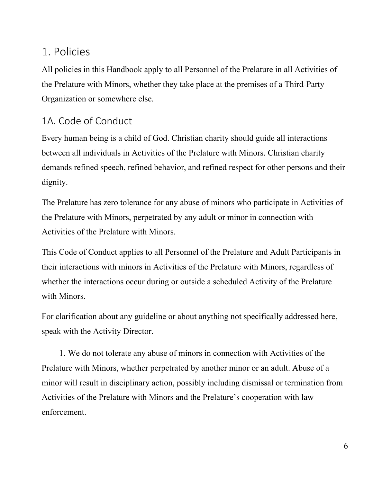## 1. Policies

All policies in this Handbook apply to all Personnel of the Prelature in all Activities of the Prelature with Minors, whether they take place at the premises of a Third-Party Organization or somewhere else.

## 1A. Code of Conduct

Every human being is a child of God. Christian charity should guide all interactions between all individuals in Activities of the Prelature with Minors. Christian charity demands refined speech, refined behavior, and refined respect for other persons and their dignity.

The Prelature has zero tolerance for any abuse of minors who participate in Activities of the Prelature with Minors, perpetrated by any adult or minor in connection with Activities of the Prelature with Minors.

This Code of Conduct applies to all Personnel of the Prelature and Adult Participants in their interactions with minors in Activities of the Prelature with Minors, regardless of whether the interactions occur during or outside a scheduled Activity of the Prelature with Minors.

For clarification about any guideline or about anything not specifically addressed here, speak with the Activity Director.

1. We do not tolerate any abuse of minors in connection with Activities of the Prelature with Minors, whether perpetrated by another minor or an adult. Abuse of a minor will result in disciplinary action, possibly including dismissal or termination from Activities of the Prelature with Minors and the Prelature's cooperation with law enforcement.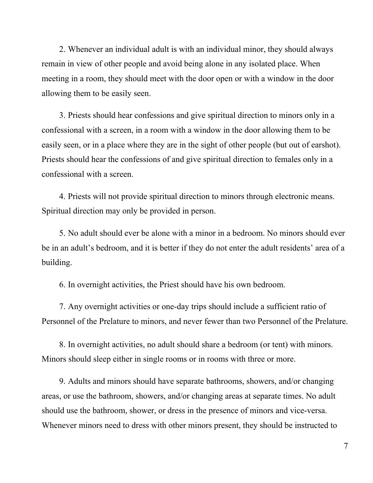2. Whenever an individual adult is with an individual minor, they should always remain in view of other people and avoid being alone in any isolated place. When meeting in a room, they should meet with the door open or with a window in the door allowing them to be easily seen.

3. Priests should hear confessions and give spiritual direction to minors only in a confessional with a screen, in a room with a window in the door allowing them to be easily seen, or in a place where they are in the sight of other people (but out of earshot). Priests should hear the confessions of and give spiritual direction to females only in a confessional with a screen.

4. Priests will not provide spiritual direction to minors through electronic means. Spiritual direction may only be provided in person.

5. No adult should ever be alone with a minor in a bedroom. No minors should ever be in an adult's bedroom, and it is better if they do not enter the adult residents' area of a building.

6. In overnight activities, the Priest should have his own bedroom.

7. Any overnight activities or one-day trips should include a sufficient ratio of Personnel of the Prelature to minors, and never fewer than two Personnel of the Prelature.

8. In overnight activities, no adult should share a bedroom (or tent) with minors. Minors should sleep either in single rooms or in rooms with three or more.

9. Adults and minors should have separate bathrooms, showers, and/or changing areas, or use the bathroom, showers, and/or changing areas at separate times. No adult should use the bathroom, shower, or dress in the presence of minors and vice-versa. Whenever minors need to dress with other minors present, they should be instructed to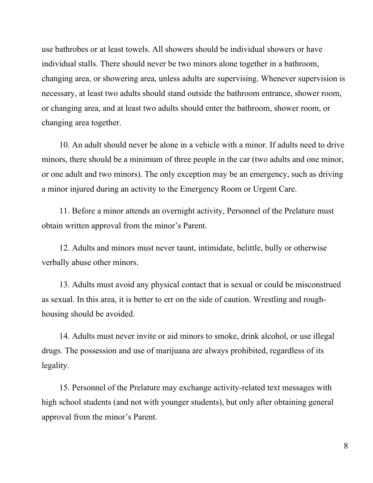use bathrobes or at least towels. All showers should be individual showers or have individual stalls. There should never be two minors alone together in a bathroom, changing area, or showering area, unless adults are supervising. Whenever supervision is necessary, at least two adults should stand outside the bathroom entrance, shower room, or changing area, and at least two adults should enter the bathroom, shower room, or changing area together.

10. An adult should never be alone in a vehicle with a minor. If adults need to drive minors, there should be a minimum of three people in the car (two adults and one minor, or one adult and two minors). The only exception may be an emergency, such as driving a minor injured during an activity to the Emergency Room or Urgent Care.

11. Before a minor attends an overnight activity, Personnel of the Prelature must obtain written approval from the minor's Parent.

12. Adults and minors must never taunt, intimidate, belittle, bully or otherwise verbally abuse other minors.

13. Adults must avoid any physical contact that is sexual or could be misconstrued as sexual. In this area, it is better to err on the side of caution. Wrestling and roughhousing should be avoided.

14. Adults must never invite or aid minors to smoke, drink alcohol, or use illegal drugs. The possession and use of marijuana are always prohibited, regardless of its legality.

15. Personnel of the Prelature may exchange activity-related text messages with high school students (and not with younger students), but only after obtaining general approval from the minor's Parent.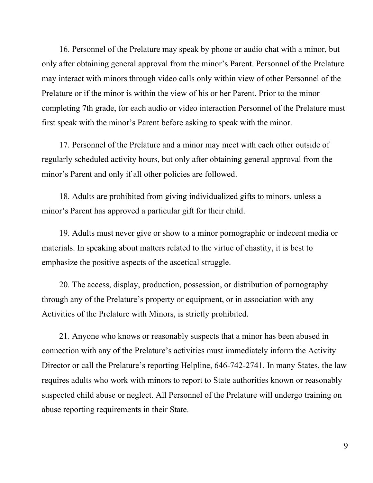16. Personnel of the Prelature may speak by phone or audio chat with a minor, but only after obtaining general approval from the minor's Parent. Personnel of the Prelature may interact with minors through video calls only within view of other Personnel of the Prelature or if the minor is within the view of his or her Parent. Prior to the minor completing 7th grade, for each audio or video interaction Personnel of the Prelature must first speak with the minor's Parent before asking to speak with the minor.

17. Personnel of the Prelature and a minor may meet with each other outside of regularly scheduled activity hours, but only after obtaining general approval from the minor's Parent and only if all other policies are followed.

18. Adults are prohibited from giving individualized gifts to minors, unless a minor's Parent has approved a particular gift for their child.

19. Adults must never give or show to a minor pornographic or indecent media or materials. In speaking about matters related to the virtue of chastity, it is best to emphasize the positive aspects of the ascetical struggle.

20. The access, display, production, possession, or distribution of pornography through any of the Prelature's property or equipment, or in association with any Activities of the Prelature with Minors, is strictly prohibited.

21. Anyone who knows or reasonably suspects that a minor has been abused in connection with any of the Prelature's activities must immediately inform the Activity Director or call the Prelature's reporting Helpline, 646-742-2741. In many States, the law requires adults who work with minors to report to State authorities known or reasonably suspected child abuse or neglect. All Personnel of the Prelature will undergo training on abuse reporting requirements in their State.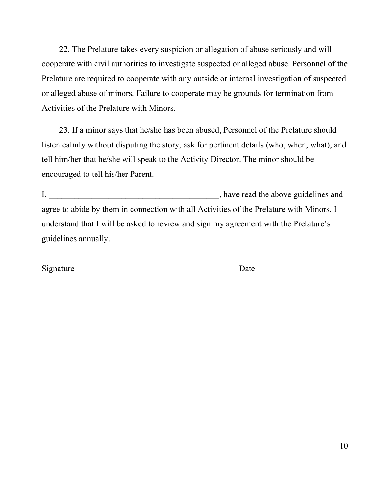22. The Prelature takes every suspicion or allegation of abuse seriously and will cooperate with civil authorities to investigate suspected or alleged abuse. Personnel of the Prelature are required to cooperate with any outside or internal investigation of suspected or alleged abuse of minors. Failure to cooperate may be grounds for termination from Activities of the Prelature with Minors.

23. If a minor says that he/she has been abused, Personnel of the Prelature should listen calmly without disputing the story, ask for pertinent details (who, when, what), and tell him/her that he/she will speak to the Activity Director. The minor should be encouraged to tell his/her Parent.

I, the same state of the state of the above guidelines and  $\alpha$ , have read the above guidelines and agree to abide by them in connection with all Activities of the Prelature with Minors. I understand that I will be asked to review and sign my agreement with the Prelature's guidelines annually.

 $\mathcal{L}_\text{max}$  , and the contribution of the contribution of the contribution of the contribution of the contribution of the contribution of the contribution of the contribution of the contribution of the contribution of t

Signature Date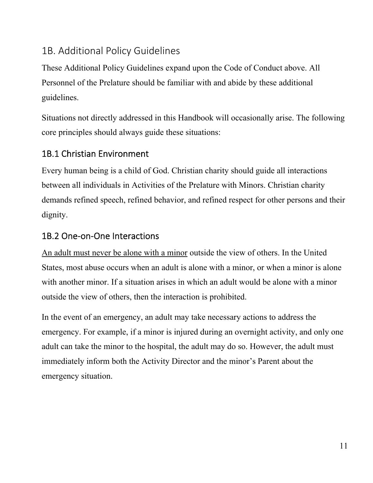## 1B. Additional Policy Guidelines

These Additional Policy Guidelines expand upon the Code of Conduct above. All Personnel of the Prelature should be familiar with and abide by these additional guidelines.

Situations not directly addressed in this Handbook will occasionally arise. The following core principles should always guide these situations:

#### 1B.1 Christian Environment

Every human being is a child of God. Christian charity should guide all interactions between all individuals in Activities of the Prelature with Minors. Christian charity demands refined speech, refined behavior, and refined respect for other persons and their dignity.

#### 1B.2 One‐on‐One Interactions

An adult must never be alone with a minor outside the view of others. In the United States, most abuse occurs when an adult is alone with a minor, or when a minor is alone with another minor. If a situation arises in which an adult would be alone with a minor outside the view of others, then the interaction is prohibited.

In the event of an emergency, an adult may take necessary actions to address the emergency. For example, if a minor is injured during an overnight activity, and only one adult can take the minor to the hospital, the adult may do so. However, the adult must immediately inform both the Activity Director and the minor's Parent about the emergency situation.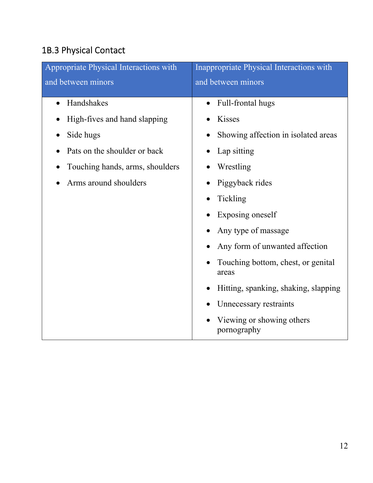# 1B.3 Physical Contact

| Appropriate Physical Interactions with                                                                                                                           | Inappropriate Physical Interactions with                                                                                                                                                                                                                                                                                                                                |
|------------------------------------------------------------------------------------------------------------------------------------------------------------------|-------------------------------------------------------------------------------------------------------------------------------------------------------------------------------------------------------------------------------------------------------------------------------------------------------------------------------------------------------------------------|
| and between minors                                                                                                                                               | and between minors                                                                                                                                                                                                                                                                                                                                                      |
| Handshakes<br>$\bullet$<br>High-fives and hand slapping<br>Side hugs<br>Pats on the shoulder or back<br>Touching hands, arms, shoulders<br>Arms around shoulders | Full-frontal hugs<br>Kisses<br>Showing affection in isolated areas<br>Lap sitting<br>Wrestling<br>Piggyback rides<br>Tickling<br>Exposing oneself<br>Any type of massage<br>Any form of unwanted affection<br>Touching bottom, chest, or genital<br>areas<br>Hitting, spanking, shaking, slapping<br>Unnecessary restraints<br>Viewing or showing others<br>pornography |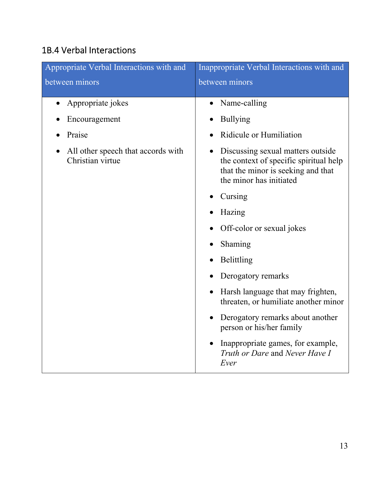## 1B.4 Verbal Interactions

| Appropriate Verbal Interactions with and               | Inappropriate Verbal Interactions with and                                                                                                                |  |
|--------------------------------------------------------|-----------------------------------------------------------------------------------------------------------------------------------------------------------|--|
| between minors                                         | between minors                                                                                                                                            |  |
| Appropriate jokes                                      | Name-calling<br>$\bullet$                                                                                                                                 |  |
| Encouragement                                          | <b>Bullying</b>                                                                                                                                           |  |
| Praise                                                 | Ridicule or Humiliation                                                                                                                                   |  |
| All other speech that accords with<br>Christian virtue | Discussing sexual matters outside<br>$\bullet$<br>the context of specific spiritual help<br>that the minor is seeking and that<br>the minor has initiated |  |
|                                                        | Cursing                                                                                                                                                   |  |
|                                                        | Hazing                                                                                                                                                    |  |
|                                                        | Off-color or sexual jokes                                                                                                                                 |  |
|                                                        | Shaming                                                                                                                                                   |  |
|                                                        | Belittling                                                                                                                                                |  |
|                                                        | Derogatory remarks                                                                                                                                        |  |
|                                                        | Harsh language that may frighten,<br>threaten, or humiliate another minor                                                                                 |  |
|                                                        | Derogatory remarks about another<br>person or his/her family                                                                                              |  |
|                                                        | Inappropriate games, for example,<br>Truth or Dare and Never Have I<br>Ever                                                                               |  |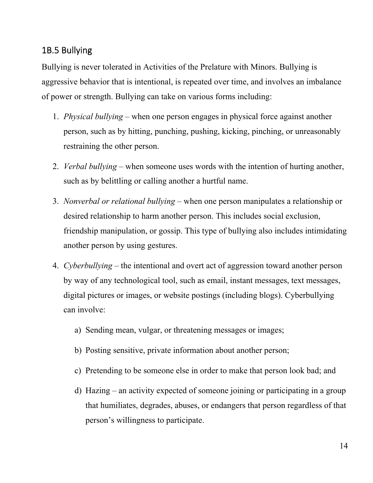#### 1B.5 Bullying

Bullying is never tolerated in Activities of the Prelature with Minors. Bullying is aggressive behavior that is intentional, is repeated over time, and involves an imbalance of power or strength. Bullying can take on various forms including:

- 1. *Physical bullying*  when one person engages in physical force against another person, such as by hitting, punching, pushing, kicking, pinching, or unreasonably restraining the other person.
- 2. *Verbal bullying*  when someone uses words with the intention of hurting another, such as by belittling or calling another a hurtful name.
- 3. *Nonverbal or relational bullying*  when one person manipulates a relationship or desired relationship to harm another person. This includes social exclusion, friendship manipulation, or gossip. This type of bullying also includes intimidating another person by using gestures.
- 4. *Cyberbullying*  the intentional and overt act of aggression toward another person by way of any technological tool, such as email, instant messages, text messages, digital pictures or images, or website postings (including blogs). Cyberbullying can involve:
	- a) Sending mean, vulgar, or threatening messages or images;
	- b) Posting sensitive, private information about another person;
	- c) Pretending to be someone else in order to make that person look bad; and
	- d) Hazing an activity expected of someone joining or participating in a group that humiliates, degrades, abuses, or endangers that person regardless of that person's willingness to participate.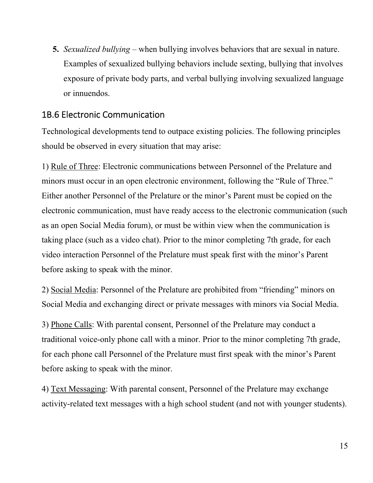**5.** *Sexualized bullying* – when bullying involves behaviors that are sexual in nature. Examples of sexualized bullying behaviors include sexting, bullying that involves exposure of private body parts, and verbal bullying involving sexualized language or innuendos.

#### 1B.6 Electronic Communication

Technological developments tend to outpace existing policies. The following principles should be observed in every situation that may arise:

1) Rule of Three: Electronic communications between Personnel of the Prelature and minors must occur in an open electronic environment, following the "Rule of Three." Either another Personnel of the Prelature or the minor's Parent must be copied on the electronic communication, must have ready access to the electronic communication (such as an open Social Media forum), or must be within view when the communication is taking place (such as a video chat). Prior to the minor completing 7th grade, for each video interaction Personnel of the Prelature must speak first with the minor's Parent before asking to speak with the minor.

2) Social Media: Personnel of the Prelature are prohibited from "friending" minors on Social Media and exchanging direct or private messages with minors via Social Media.

3) Phone Calls: With parental consent, Personnel of the Prelature may conduct a traditional voice-only phone call with a minor. Prior to the minor completing 7th grade, for each phone call Personnel of the Prelature must first speak with the minor's Parent before asking to speak with the minor.

4) Text Messaging: With parental consent, Personnel of the Prelature may exchange activity-related text messages with a high school student (and not with younger students).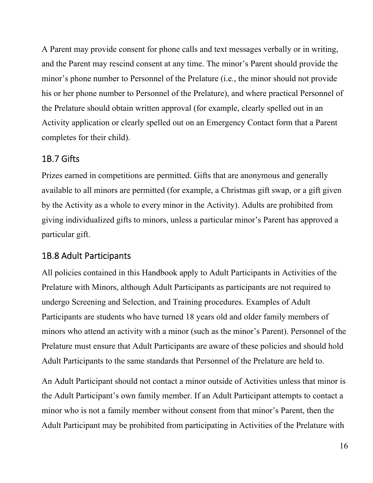A Parent may provide consent for phone calls and text messages verbally or in writing, and the Parent may rescind consent at any time. The minor's Parent should provide the minor's phone number to Personnel of the Prelature (i.e., the minor should not provide his or her phone number to Personnel of the Prelature), and where practical Personnel of the Prelature should obtain written approval (for example, clearly spelled out in an Activity application or clearly spelled out on an Emergency Contact form that a Parent completes for their child).

#### 1B.7 Gifts

Prizes earned in competitions are permitted. Gifts that are anonymous and generally available to all minors are permitted (for example, a Christmas gift swap, or a gift given by the Activity as a whole to every minor in the Activity). Adults are prohibited from giving individualized gifts to minors, unless a particular minor's Parent has approved a particular gift.

#### 1B.8 Adult Participants

All policies contained in this Handbook apply to Adult Participants in Activities of the Prelature with Minors, although Adult Participants as participants are not required to undergo Screening and Selection, and Training procedures. Examples of Adult Participants are students who have turned 18 years old and older family members of minors who attend an activity with a minor (such as the minor's Parent). Personnel of the Prelature must ensure that Adult Participants are aware of these policies and should hold Adult Participants to the same standards that Personnel of the Prelature are held to.

An Adult Participant should not contact a minor outside of Activities unless that minor is the Adult Participant's own family member. If an Adult Participant attempts to contact a minor who is not a family member without consent from that minor's Parent, then the Adult Participant may be prohibited from participating in Activities of the Prelature with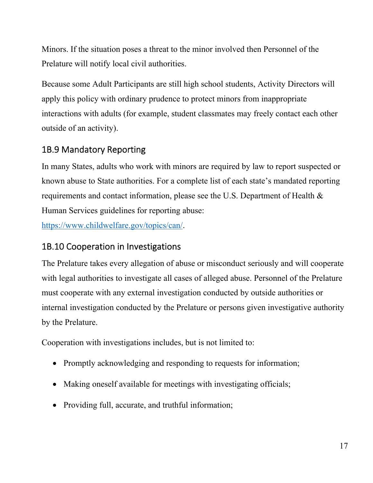Minors. If the situation poses a threat to the minor involved then Personnel of the Prelature will notify local civil authorities.

Because some Adult Participants are still high school students, Activity Directors will apply this policy with ordinary prudence to protect minors from inappropriate interactions with adults (for example, student classmates may freely contact each other outside of an activity).

## 1B.9 Mandatory Reporting

In many States, adults who work with minors are required by law to report suspected or known abuse to State authorities. For a complete list of each state's mandated reporting requirements and contact information, please see the U.S. Department of Health & Human Services guidelines for reporting abuse:

https://www.childwelfare.gov/topics/can/.

#### 1B.10 Cooperation in Investigations

The Prelature takes every allegation of abuse or misconduct seriously and will cooperate with legal authorities to investigate all cases of alleged abuse. Personnel of the Prelature must cooperate with any external investigation conducted by outside authorities or internal investigation conducted by the Prelature or persons given investigative authority by the Prelature.

Cooperation with investigations includes, but is not limited to:

- Promptly acknowledging and responding to requests for information;
- Making oneself available for meetings with investigating officials;
- Providing full, accurate, and truthful information;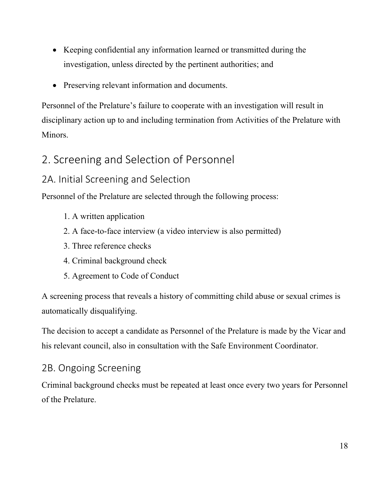- Keeping confidential any information learned or transmitted during the investigation, unless directed by the pertinent authorities; and
- Preserving relevant information and documents.

Personnel of the Prelature's failure to cooperate with an investigation will result in disciplinary action up to and including termination from Activities of the Prelature with Minors.

## 2. Screening and Selection of Personnel

## 2A. Initial Screening and Selection

Personnel of the Prelature are selected through the following process:

- 1. A written application
- 2. A face-to-face interview (a video interview is also permitted)
- 3. Three reference checks
- 4. Criminal background check
- 5. Agreement to Code of Conduct

A screening process that reveals a history of committing child abuse or sexual crimes is automatically disqualifying.

The decision to accept a candidate as Personnel of the Prelature is made by the Vicar and his relevant council, also in consultation with the Safe Environment Coordinator.

## 2B. Ongoing Screening

Criminal background checks must be repeated at least once every two years for Personnel of the Prelature.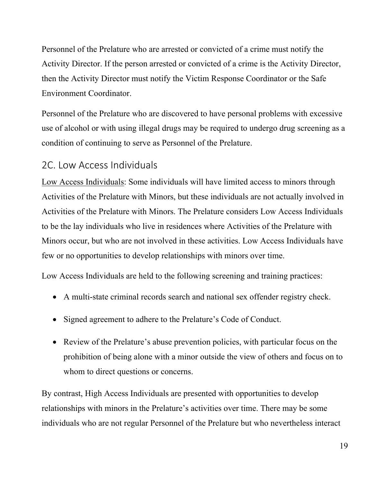Personnel of the Prelature who are arrested or convicted of a crime must notify the Activity Director. If the person arrested or convicted of a crime is the Activity Director, then the Activity Director must notify the Victim Response Coordinator or the Safe Environment Coordinator.

Personnel of the Prelature who are discovered to have personal problems with excessive use of alcohol or with using illegal drugs may be required to undergo drug screening as a condition of continuing to serve as Personnel of the Prelature.

#### 2C. Low Access Individuals

Low Access Individuals: Some individuals will have limited access to minors through Activities of the Prelature with Minors, but these individuals are not actually involved in Activities of the Prelature with Minors. The Prelature considers Low Access Individuals to be the lay individuals who live in residences where Activities of the Prelature with Minors occur, but who are not involved in these activities. Low Access Individuals have few or no opportunities to develop relationships with minors over time.

Low Access Individuals are held to the following screening and training practices:

- A multi-state criminal records search and national sex offender registry check.
- Signed agreement to adhere to the Prelature's Code of Conduct.
- Review of the Prelature's abuse prevention policies, with particular focus on the prohibition of being alone with a minor outside the view of others and focus on to whom to direct questions or concerns.

By contrast, High Access Individuals are presented with opportunities to develop relationships with minors in the Prelature's activities over time. There may be some individuals who are not regular Personnel of the Prelature but who nevertheless interact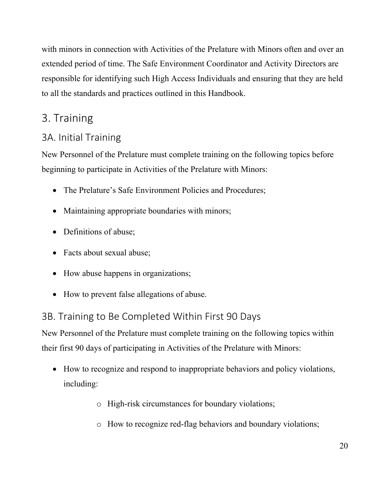with minors in connection with Activities of the Prelature with Minors often and over an extended period of time. The Safe Environment Coordinator and Activity Directors are responsible for identifying such High Access Individuals and ensuring that they are held to all the standards and practices outlined in this Handbook.

## 3. Training

## 3A. Initial Training

New Personnel of the Prelature must complete training on the following topics before beginning to participate in Activities of the Prelature with Minors:

- The Prelature's Safe Environment Policies and Procedures;
- Maintaining appropriate boundaries with minors;
- Definitions of abuse;
- Facts about sexual abuse;
- How abuse happens in organizations;
- How to prevent false allegations of abuse.

## 3B. Training to Be Completed Within First 90 Days

New Personnel of the Prelature must complete training on the following topics within their first 90 days of participating in Activities of the Prelature with Minors:

- How to recognize and respond to inappropriate behaviors and policy violations, including:
	- o High-risk circumstances for boundary violations;
	- o How to recognize red-flag behaviors and boundary violations;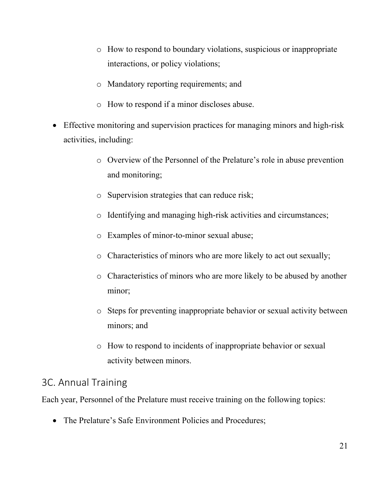- o How to respond to boundary violations, suspicious or inappropriate interactions, or policy violations;
- o Mandatory reporting requirements; and
- o How to respond if a minor discloses abuse.
- Effective monitoring and supervision practices for managing minors and high-risk activities, including:
	- o Overview of the Personnel of the Prelature's role in abuse prevention and monitoring;
	- o Supervision strategies that can reduce risk;
	- o Identifying and managing high-risk activities and circumstances;
	- o Examples of minor-to-minor sexual abuse;
	- o Characteristics of minors who are more likely to act out sexually;
	- o Characteristics of minors who are more likely to be abused by another minor;
	- o Steps for preventing inappropriate behavior or sexual activity between minors; and
	- o How to respond to incidents of inappropriate behavior or sexual activity between minors.

## 3C. Annual Training

Each year, Personnel of the Prelature must receive training on the following topics:

The Prelature's Safe Environment Policies and Procedures;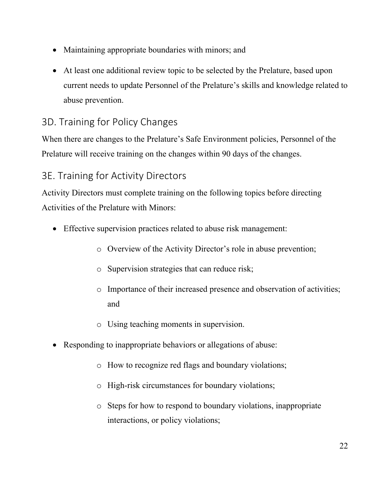- Maintaining appropriate boundaries with minors; and
- At least one additional review topic to be selected by the Prelature, based upon current needs to update Personnel of the Prelature's skills and knowledge related to abuse prevention.

## 3D. Training for Policy Changes

When there are changes to the Prelature's Safe Environment policies, Personnel of the Prelature will receive training on the changes within 90 days of the changes.

## 3E. Training for Activity Directors

Activity Directors must complete training on the following topics before directing Activities of the Prelature with Minors:

- Effective supervision practices related to abuse risk management:
	- o Overview of the Activity Director's role in abuse prevention;
	- o Supervision strategies that can reduce risk;
	- o Importance of their increased presence and observation of activities; and
	- o Using teaching moments in supervision.
- Responding to inappropriate behaviors or allegations of abuse:
	- o How to recognize red flags and boundary violations;
	- o High-risk circumstances for boundary violations;
	- o Steps for how to respond to boundary violations, inappropriate interactions, or policy violations;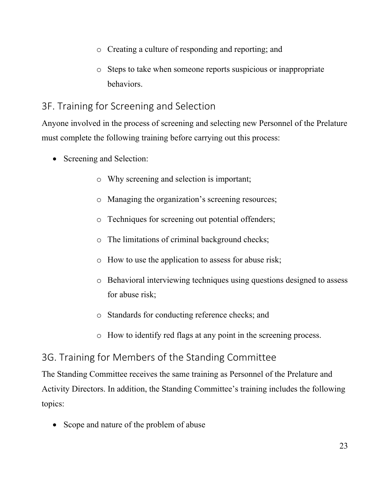- o Creating a culture of responding and reporting; and
- o Steps to take when someone reports suspicious or inappropriate behaviors.

## 3F. Training for Screening and Selection

Anyone involved in the process of screening and selecting new Personnel of the Prelature must complete the following training before carrying out this process:

- Screening and Selection:
	- o Why screening and selection is important;
	- o Managing the organization's screening resources;
	- o Techniques for screening out potential offenders;
	- o The limitations of criminal background checks;
	- o How to use the application to assess for abuse risk;
	- o Behavioral interviewing techniques using questions designed to assess for abuse risk;
	- o Standards for conducting reference checks; and
	- o How to identify red flags at any point in the screening process.

## 3G. Training for Members of the Standing Committee

The Standing Committee receives the same training as Personnel of the Prelature and Activity Directors. In addition, the Standing Committee's training includes the following topics:

Scope and nature of the problem of abuse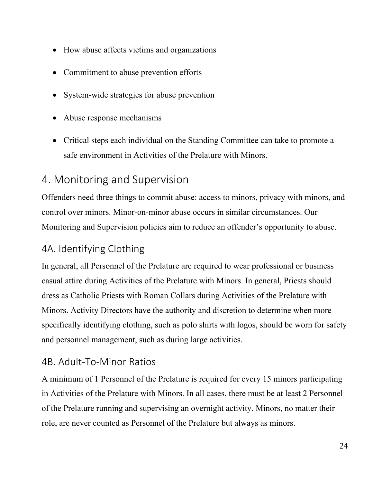- How abuse affects victims and organizations
- Commitment to abuse prevention efforts
- System-wide strategies for abuse prevention
- Abuse response mechanisms
- Critical steps each individual on the Standing Committee can take to promote a safe environment in Activities of the Prelature with Minors.

## 4. Monitoring and Supervision

Offenders need three things to commit abuse: access to minors, privacy with minors, and control over minors. Minor-on-minor abuse occurs in similar circumstances. Our Monitoring and Supervision policies aim to reduce an offender's opportunity to abuse.

## 4A. Identifying Clothing

In general, all Personnel of the Prelature are required to wear professional or business casual attire during Activities of the Prelature with Minors. In general, Priests should dress as Catholic Priests with Roman Collars during Activities of the Prelature with Minors. Activity Directors have the authority and discretion to determine when more specifically identifying clothing, such as polo shirts with logos, should be worn for safety and personnel management, such as during large activities.

#### 4B. Adult‐To‐Minor Ratios

A minimum of 1 Personnel of the Prelature is required for every 15 minors participating in Activities of the Prelature with Minors. In all cases, there must be at least 2 Personnel of the Prelature running and supervising an overnight activity. Minors, no matter their role, are never counted as Personnel of the Prelature but always as minors.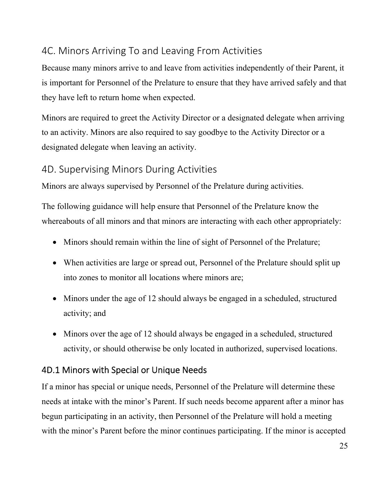## 4C. Minors Arriving To and Leaving From Activities

Because many minors arrive to and leave from activities independently of their Parent, it is important for Personnel of the Prelature to ensure that they have arrived safely and that they have left to return home when expected.

Minors are required to greet the Activity Director or a designated delegate when arriving to an activity. Minors are also required to say goodbye to the Activity Director or a designated delegate when leaving an activity.

#### 4D. Supervising Minors During Activities

Minors are always supervised by Personnel of the Prelature during activities.

The following guidance will help ensure that Personnel of the Prelature know the whereabouts of all minors and that minors are interacting with each other appropriately:

- Minors should remain within the line of sight of Personnel of the Prelature;
- When activities are large or spread out, Personnel of the Prelature should split up into zones to monitor all locations where minors are;
- Minors under the age of 12 should always be engaged in a scheduled, structured activity; and
- Minors over the age of 12 should always be engaged in a scheduled, structured activity, or should otherwise be only located in authorized, supervised locations.

#### 4D.1 Minors with Special or Unique Needs

If a minor has special or unique needs, Personnel of the Prelature will determine these needs at intake with the minor's Parent. If such needs become apparent after a minor has begun participating in an activity, then Personnel of the Prelature will hold a meeting with the minor's Parent before the minor continues participating. If the minor is accepted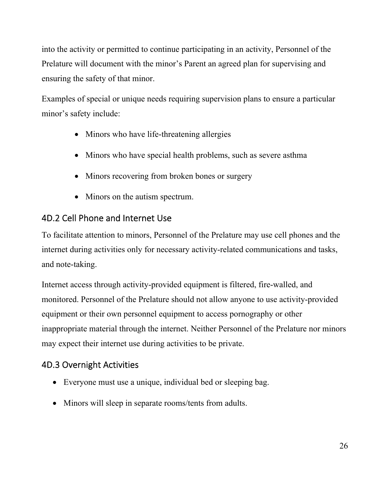into the activity or permitted to continue participating in an activity, Personnel of the Prelature will document with the minor's Parent an agreed plan for supervising and ensuring the safety of that minor.

Examples of special or unique needs requiring supervision plans to ensure a particular minor's safety include:

- Minors who have life-threatening allergies
- Minors who have special health problems, such as severe asthma
- Minors recovering from broken bones or surgery
- Minors on the autism spectrum.

## 4D.2 Cell Phone and Internet Use

To facilitate attention to minors, Personnel of the Prelature may use cell phones and the internet during activities only for necessary activity-related communications and tasks, and note-taking.

Internet access through activity-provided equipment is filtered, fire-walled, and monitored. Personnel of the Prelature should not allow anyone to use activity-provided equipment or their own personnel equipment to access pornography or other inappropriate material through the internet. Neither Personnel of the Prelature nor minors may expect their internet use during activities to be private.

## 4D.3 Overnight Activities

- Everyone must use a unique, individual bed or sleeping bag.
- Minors will sleep in separate rooms/tents from adults.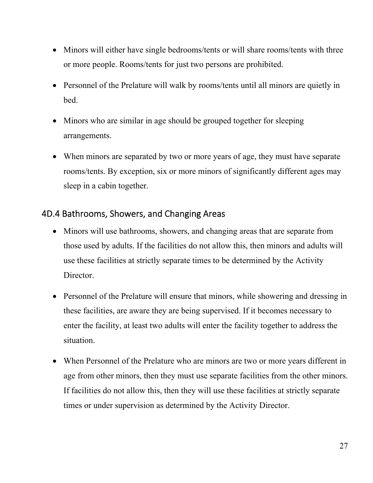- Minors will either have single bedrooms/tents or will share rooms/tents with three or more people. Rooms/tents for just two persons are prohibited.
- Personnel of the Prelature will walk by rooms/tents until all minors are quietly in bed.
- Minors who are similar in age should be grouped together for sleeping arrangements.
- When minors are separated by two or more years of age, they must have separate rooms/tents. By exception, six or more minors of significantly different ages may sleep in a cabin together.

#### 4D.4 Bathrooms, Showers, and Changing Areas

- Minors will use bathrooms, showers, and changing areas that are separate from those used by adults. If the facilities do not allow this, then minors and adults will use these facilities at strictly separate times to be determined by the Activity Director.
- Personnel of the Prelature will ensure that minors, while showering and dressing in these facilities, are aware they are being supervised. If it becomes necessary to enter the facility, at least two adults will enter the facility together to address the situation.
- When Personnel of the Prelature who are minors are two or more years different in age from other minors, then they must use separate facilities from the other minors. If facilities do not allow this, then they will use these facilities at strictly separate times or under supervision as determined by the Activity Director.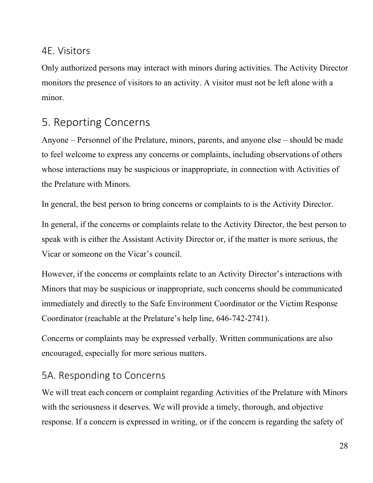#### 4E. Visitors

Only authorized persons may interact with minors during activities. The Activity Director monitors the presence of visitors to an activity. A visitor must not be left alone with a minor.

## 5. Reporting Concerns

Anyone – Personnel of the Prelature, minors, parents, and anyone else – should be made to feel welcome to express any concerns or complaints, including observations of others whose interactions may be suspicious or inappropriate, in connection with Activities of the Prelature with Minors.

In general, the best person to bring concerns or complaints to is the Activity Director.

In general, if the concerns or complaints relate to the Activity Director, the best person to speak with is either the Assistant Activity Director or, if the matter is more serious, the Vicar or someone on the Vicar's council.

However, if the concerns or complaints relate to an Activity Director's interactions with Minors that may be suspicious or inappropriate, such concerns should be communicated immediately and directly to the Safe Environment Coordinator or the Victim Response Coordinator (reachable at the Prelature's help line, 646-742-2741).

Concerns or complaints may be expressed verbally. Written communications are also encouraged, especially for more serious matters.

## 5A. Responding to Concerns

We will treat each concern or complaint regarding Activities of the Prelature with Minors with the seriousness it deserves. We will provide a timely, thorough, and objective response. If a concern is expressed in writing, or if the concern is regarding the safety of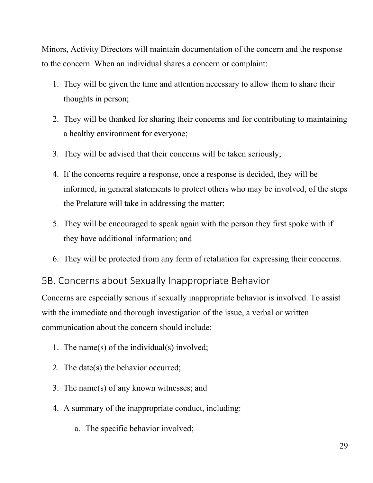Minors, Activity Directors will maintain documentation of the concern and the response to the concern. When an individual shares a concern or complaint:

- 1. They will be given the time and attention necessary to allow them to share their thoughts in person;
- 2. They will be thanked for sharing their concerns and for contributing to maintaining a healthy environment for everyone;
- 3. They will be advised that their concerns will be taken seriously;
- 4. If the concerns require a response, once a response is decided, they will be informed, in general statements to protect others who may be involved, of the steps the Prelature will take in addressing the matter;
- 5. They will be encouraged to speak again with the person they first spoke with if they have additional information; and
- 6. They will be protected from any form of retaliation for expressing their concerns.

#### 5B. Concerns about Sexually Inappropriate Behavior

Concerns are especially serious if sexually inappropriate behavior is involved. To assist with the immediate and thorough investigation of the issue, a verbal or written communication about the concern should include:

- 1. The name(s) of the individual(s) involved;
- 2. The date(s) the behavior occurred;
- 3. The name(s) of any known witnesses; and
- 4. A summary of the inappropriate conduct, including:
	- a. The specific behavior involved;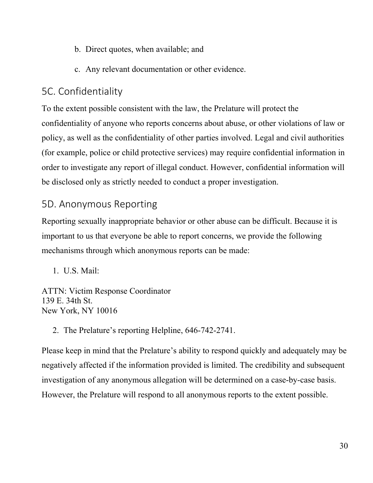- b. Direct quotes, when available; and
- c. Any relevant documentation or other evidence.

## 5C. Confidentiality

To the extent possible consistent with the law, the Prelature will protect the confidentiality of anyone who reports concerns about abuse, or other violations of law or policy, as well as the confidentiality of other parties involved. Legal and civil authorities (for example, police or child protective services) may require confidential information in order to investigate any report of illegal conduct. However, confidential information will be disclosed only as strictly needed to conduct a proper investigation.

## 5D. Anonymous Reporting

Reporting sexually inappropriate behavior or other abuse can be difficult. Because it is important to us that everyone be able to report concerns, we provide the following mechanisms through which anonymous reports can be made:

1. U.S. Mail:

ATTN: Victim Response Coordinator 139 E. 34th St. New York, NY 10016

2. The Prelature's reporting Helpline, 646-742-2741.

Please keep in mind that the Prelature's ability to respond quickly and adequately may be negatively affected if the information provided is limited. The credibility and subsequent investigation of any anonymous allegation will be determined on a case-by-case basis. However, the Prelature will respond to all anonymous reports to the extent possible.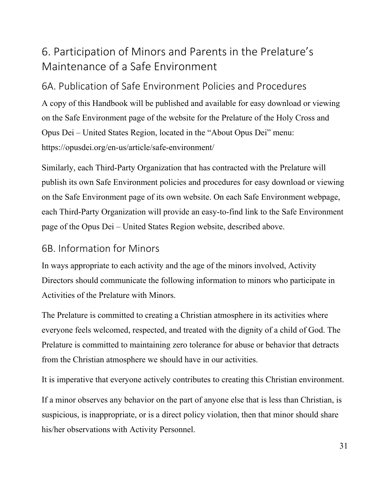# 6. Participation of Minors and Parents in the Prelature's Maintenance of a Safe Environment

## 6A. Publication of Safe Environment Policies and Procedures

A copy of this Handbook will be published and available for easy download or viewing on the Safe Environment page of the website for the Prelature of the Holy Cross and Opus Dei – United States Region, located in the "About Opus Dei" menu: https://opusdei.org/en-us/article/safe-environment/

Similarly, each Third-Party Organization that has contracted with the Prelature will publish its own Safe Environment policies and procedures for easy download or viewing on the Safe Environment page of its own website. On each Safe Environment webpage, each Third-Party Organization will provide an easy-to-find link to the Safe Environment page of the Opus Dei – United States Region website, described above.

#### 6B. Information for Minors

In ways appropriate to each activity and the age of the minors involved, Activity Directors should communicate the following information to minors who participate in Activities of the Prelature with Minors.

The Prelature is committed to creating a Christian atmosphere in its activities where everyone feels welcomed, respected, and treated with the dignity of a child of God. The Prelature is committed to maintaining zero tolerance for abuse or behavior that detracts from the Christian atmosphere we should have in our activities.

It is imperative that everyone actively contributes to creating this Christian environment.

If a minor observes any behavior on the part of anyone else that is less than Christian, is suspicious, is inappropriate, or is a direct policy violation, then that minor should share his/her observations with Activity Personnel.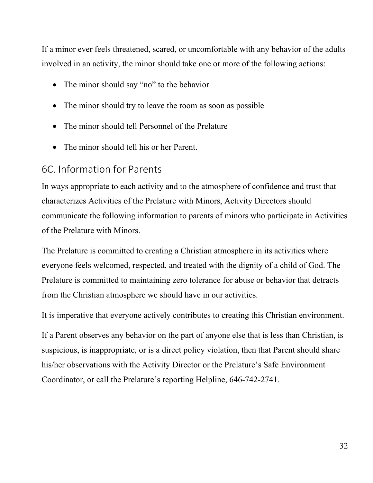If a minor ever feels threatened, scared, or uncomfortable with any behavior of the adults involved in an activity, the minor should take one or more of the following actions:

- The minor should say "no" to the behavior
- The minor should try to leave the room as soon as possible
- The minor should tell Personnel of the Prelature
- $\bullet$  The minor should tell his or her Parent.

## 6C. Information for Parents

In ways appropriate to each activity and to the atmosphere of confidence and trust that characterizes Activities of the Prelature with Minors, Activity Directors should communicate the following information to parents of minors who participate in Activities of the Prelature with Minors.

The Prelature is committed to creating a Christian atmosphere in its activities where everyone feels welcomed, respected, and treated with the dignity of a child of God. The Prelature is committed to maintaining zero tolerance for abuse or behavior that detracts from the Christian atmosphere we should have in our activities.

It is imperative that everyone actively contributes to creating this Christian environment.

If a Parent observes any behavior on the part of anyone else that is less than Christian, is suspicious, is inappropriate, or is a direct policy violation, then that Parent should share his/her observations with the Activity Director or the Prelature's Safe Environment Coordinator, or call the Prelature's reporting Helpline, 646-742-2741.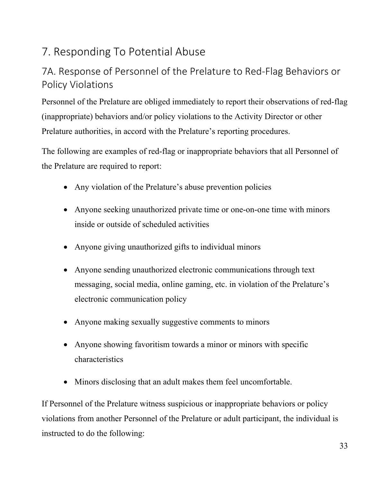# 7. Responding To Potential Abuse

## 7A. Response of Personnel of the Prelature to Red‐Flag Behaviors or Policy Violations

Personnel of the Prelature are obliged immediately to report their observations of red-flag (inappropriate) behaviors and/or policy violations to the Activity Director or other Prelature authorities, in accord with the Prelature's reporting procedures.

The following are examples of red-flag or inappropriate behaviors that all Personnel of the Prelature are required to report:

- Any violation of the Prelature's abuse prevention policies
- Anyone seeking unauthorized private time or one-on-one time with minors inside or outside of scheduled activities
- Anyone giving unauthorized gifts to individual minors
- Anyone sending unauthorized electronic communications through text messaging, social media, online gaming, etc. in violation of the Prelature's electronic communication policy
- Anyone making sexually suggestive comments to minors
- Anyone showing favoritism towards a minor or minors with specific characteristics
- Minors disclosing that an adult makes them feel uncomfortable.

If Personnel of the Prelature witness suspicious or inappropriate behaviors or policy violations from another Personnel of the Prelature or adult participant, the individual is instructed to do the following: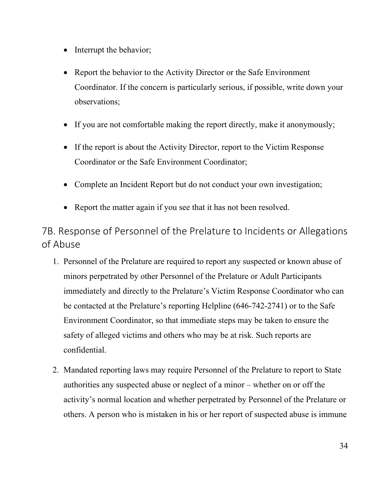- Interrupt the behavior;
- Report the behavior to the Activity Director or the Safe Environment Coordinator. If the concern is particularly serious, if possible, write down your observations;
- If you are not comfortable making the report directly, make it anonymously;
- If the report is about the Activity Director, report to the Victim Response Coordinator or the Safe Environment Coordinator;
- Complete an Incident Report but do not conduct your own investigation;
- Report the matter again if you see that it has not been resolved.

7B. Response of Personnel of the Prelature to Incidents or Allegations of Abuse

- 1. Personnel of the Prelature are required to report any suspected or known abuse of minors perpetrated by other Personnel of the Prelature or Adult Participants immediately and directly to the Prelature's Victim Response Coordinator who can be contacted at the Prelature's reporting Helpline (646-742-2741) or to the Safe Environment Coordinator, so that immediate steps may be taken to ensure the safety of alleged victims and others who may be at risk. Such reports are confidential.
- 2. Mandated reporting laws may require Personnel of the Prelature to report to State authorities any suspected abuse or neglect of a minor – whether on or off the activity's normal location and whether perpetrated by Personnel of the Prelature or others. A person who is mistaken in his or her report of suspected abuse is immune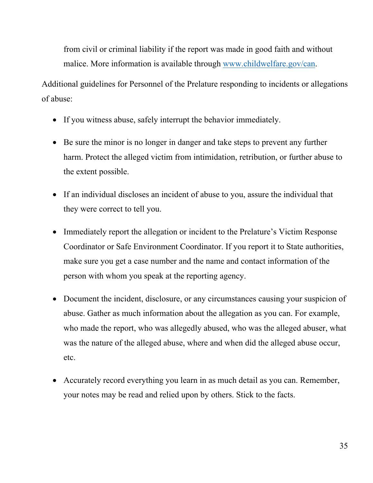from civil or criminal liability if the report was made in good faith and without malice. More information is available through www.childwelfare.gov/can.

Additional guidelines for Personnel of the Prelature responding to incidents or allegations of abuse:

- If you witness abuse, safely interrupt the behavior immediately.
- Be sure the minor is no longer in danger and take steps to prevent any further harm. Protect the alleged victim from intimidation, retribution, or further abuse to the extent possible.
- If an individual discloses an incident of abuse to you, assure the individual that they were correct to tell you.
- Immediately report the allegation or incident to the Prelature's Victim Response Coordinator or Safe Environment Coordinator. If you report it to State authorities, make sure you get a case number and the name and contact information of the person with whom you speak at the reporting agency.
- Document the incident, disclosure, or any circumstances causing your suspicion of abuse. Gather as much information about the allegation as you can. For example, who made the report, who was allegedly abused, who was the alleged abuser, what was the nature of the alleged abuse, where and when did the alleged abuse occur, etc.
- Accurately record everything you learn in as much detail as you can. Remember, your notes may be read and relied upon by others. Stick to the facts.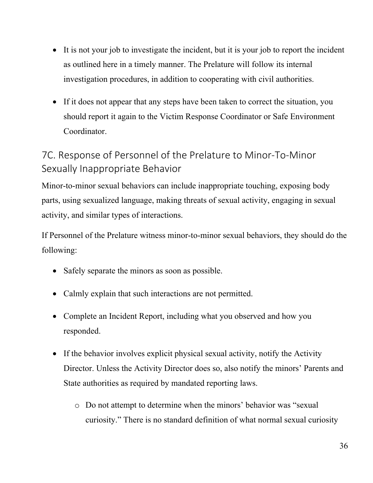- It is not your job to investigate the incident, but it is your job to report the incident as outlined here in a timely manner. The Prelature will follow its internal investigation procedures, in addition to cooperating with civil authorities.
- If it does not appear that any steps have been taken to correct the situation, you should report it again to the Victim Response Coordinator or Safe Environment Coordinator.

## 7C. Response of Personnel of the Prelature to Minor‐To‐Minor Sexually Inappropriate Behavior

Minor-to-minor sexual behaviors can include inappropriate touching, exposing body parts, using sexualized language, making threats of sexual activity, engaging in sexual activity, and similar types of interactions.

If Personnel of the Prelature witness minor-to-minor sexual behaviors, they should do the following:

- Safely separate the minors as soon as possible.
- Calmly explain that such interactions are not permitted.
- Complete an Incident Report, including what you observed and how you responded.
- If the behavior involves explicit physical sexual activity, notify the Activity Director. Unless the Activity Director does so, also notify the minors' Parents and State authorities as required by mandated reporting laws.
	- o Do not attempt to determine when the minors' behavior was "sexual curiosity." There is no standard definition of what normal sexual curiosity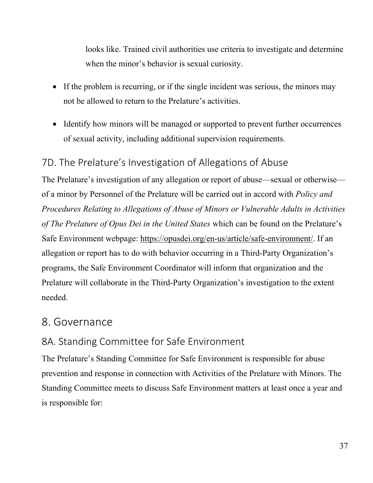looks like. Trained civil authorities use criteria to investigate and determine when the minor's behavior is sexual curiosity.

- If the problem is recurring, or if the single incident was serious, the minors may not be allowed to return to the Prelature's activities.
- Identify how minors will be managed or supported to prevent further occurrences of sexual activity, including additional supervision requirements.

## 7D. The Prelature's Investigation of Allegations of Abuse

The Prelature's investigation of any allegation or report of abuse—sexual or otherwise of a minor by Personnel of the Prelature will be carried out in accord with *Policy and Procedures Relating to Allegations of Abuse of Minors or Vulnerable Adults in Activities of The Prelature of Opus Dei in the United States* which can be found on the Prelature's Safe Environment webpage: https://opusdei.org/en-us/article/safe-environment/. If an allegation or report has to do with behavior occurring in a Third-Party Organization's programs, the Safe Environment Coordinator will inform that organization and the Prelature will collaborate in the Third-Party Organization's investigation to the extent needed.

#### 8. Governance

#### 8A. Standing Committee for Safe Environment

The Prelature's Standing Committee for Safe Environment is responsible for abuse prevention and response in connection with Activities of the Prelature with Minors. The Standing Committee meets to discuss Safe Environment matters at least once a year and is responsible for: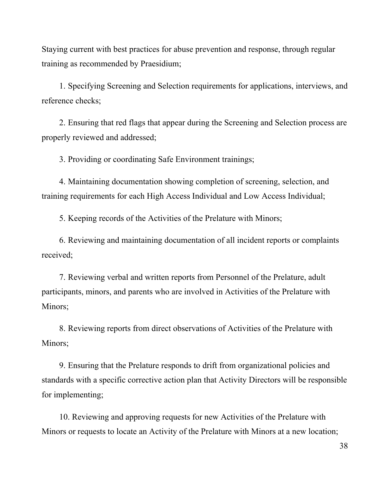Staying current with best practices for abuse prevention and response, through regular training as recommended by Praesidium;

1. Specifying Screening and Selection requirements for applications, interviews, and reference checks;

2. Ensuring that red flags that appear during the Screening and Selection process are properly reviewed and addressed;

3. Providing or coordinating Safe Environment trainings;

4. Maintaining documentation showing completion of screening, selection, and training requirements for each High Access Individual and Low Access Individual;

5. Keeping records of the Activities of the Prelature with Minors;

6. Reviewing and maintaining documentation of all incident reports or complaints received;

7. Reviewing verbal and written reports from Personnel of the Prelature, adult participants, minors, and parents who are involved in Activities of the Prelature with Minors:

8. Reviewing reports from direct observations of Activities of the Prelature with Minors;

9. Ensuring that the Prelature responds to drift from organizational policies and standards with a specific corrective action plan that Activity Directors will be responsible for implementing;

10. Reviewing and approving requests for new Activities of the Prelature with Minors or requests to locate an Activity of the Prelature with Minors at a new location;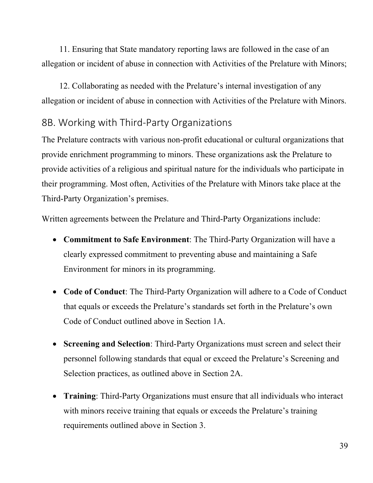11. Ensuring that State mandatory reporting laws are followed in the case of an allegation or incident of abuse in connection with Activities of the Prelature with Minors;

12. Collaborating as needed with the Prelature's internal investigation of any allegation or incident of abuse in connection with Activities of the Prelature with Minors.

#### 8B. Working with Third‐Party Organizations

The Prelature contracts with various non-profit educational or cultural organizations that provide enrichment programming to minors. These organizations ask the Prelature to provide activities of a religious and spiritual nature for the individuals who participate in their programming. Most often, Activities of the Prelature with Minors take place at the Third-Party Organization's premises.

Written agreements between the Prelature and Third-Party Organizations include:

- **Commitment to Safe Environment**: The Third-Party Organization will have a clearly expressed commitment to preventing abuse and maintaining a Safe Environment for minors in its programming.
- **Code of Conduct**: The Third-Party Organization will adhere to a Code of Conduct that equals or exceeds the Prelature's standards set forth in the Prelature's own Code of Conduct outlined above in Section 1A.
- **Screening and Selection**: Third-Party Organizations must screen and select their personnel following standards that equal or exceed the Prelature's Screening and Selection practices, as outlined above in Section 2A.
- **Training**: Third-Party Organizations must ensure that all individuals who interact with minors receive training that equals or exceeds the Prelature's training requirements outlined above in Section 3.